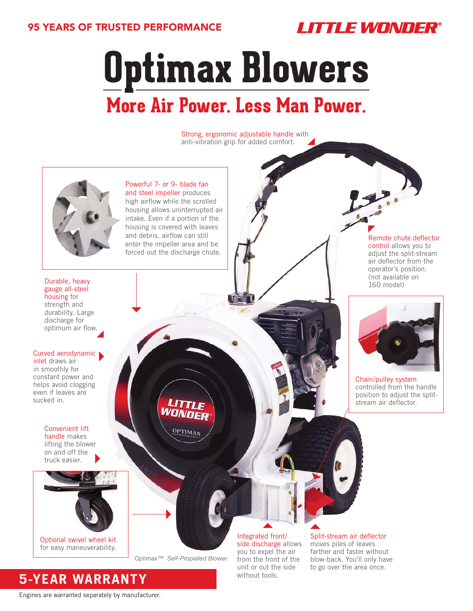## 95 YEARS OF TRUSTED PERFORMANCE



**Optimax Blowers**

# **More Air Power. Less Man Power.**

Strong, ergonomic adjustable handle with anti-vibration grip for added comfort.



Powerful 7- or 9- blade fan and steel impeller produces high airflow while the scrolled housing allows uninterrupted air intake. Even if a portion of the housing is covered with leaves and debris, airflow can still enter the impeller area and be forced out the discharge chute.

Durable, heavy gauge all-steel housing for strength and durability. Large discharge for optimum air flow.

#### Curved aerodynamic

inlet draws air in smoothly for constant power and helps avoid clogging even if leaves are sucked in.

> Convenient lift handle makes lifting the blower on and off the truck easier.



for easy maneuverability.

*Optimax™ Self-Propelled Blower*

OPTIMAX

Integrated front/ side discharge allows you to expel the air from the front of the unit or out the side without tools.

Split-stream air deflector moves piles of leaves farther and faster without blow-back. You'll only have to go over the area once.

Remote chute deflector control allows you to adjust the split-stream air deflector from the operator's position. (not available on 160 model)



Chain/pulley system controlled from the handle position to adjust the splitstream air deflector.

**5-YEAR WARRANTY**

Engines are warranted separately by manufacturer.